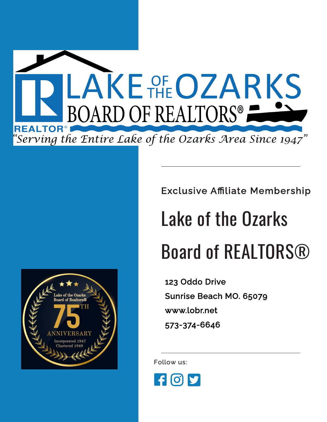



Exclusive Affiliate Membership

## Lake of the Ozarks Board of REALTORS®

123 Oddo Drive Sunrise Beach MO. 65079 www.lobr.net 573-374-6646

Follow us:

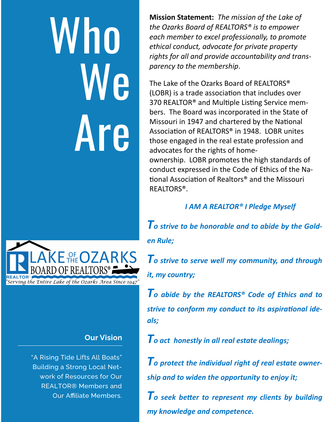## Who We | Are



The Lake of the Ozarks Board of REALTORS® (LOBR) is a trade association that includes over 370 REALTOR® and Multiple Listing Service members. The Board was incorporated in the State of Missouri in 1947 and chartered by the National Association of REALTORS® in 1948. LOBR unites those engaged in the real estate profession and advocates for the rights of homeownership. LOBR promotes the high standards of conduct expressed in the Code of Ethics of the National Association of Realtors® and the Missouri REALTORS®.

#### *I AM A REALTOR® I Pledge Myself*

*To strive to be honorable and to abide by the Golden Rule;*

*To strive to serve well my community, and through it, my country;*

*To abide by the REALTORS® Code of Ethics and to strive to conform my conduct to its aspirational ideals;*

*To act honestly in all real estate dealings;*

*To protect the individual right of real estate ownership and to widen the opportunity to enjoy it;*

*To seek better to represent my clients by building my knowledge and competence.*



#### **Our Vision**

"A Rising Tide Lifts All Boats" Building a Strong Local Network of Resources for Our REALTOR® Members and Our Affiliate Members.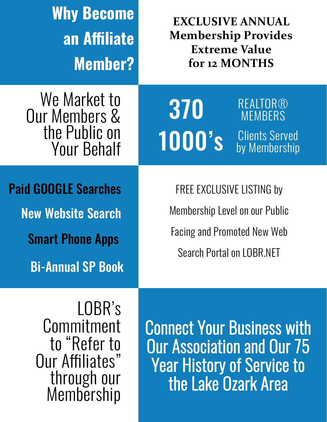| <b>Why Become</b><br>an Affiliate<br><b>Member?</b>                                                             | <b>EXCLUSIVE ANNUAL</b><br><b>Membership Provides</b><br><b>Extreme Value</b><br>for 12 MONTHS                                               |
|-----------------------------------------------------------------------------------------------------------------|----------------------------------------------------------------------------------------------------------------------------------------------|
| We Market to<br><b>Our Members &amp;</b><br>the Public on<br><b>Your Behalf</b>                                 | REALTOR®<br>370<br><b>MEMBERS</b><br><b>Clients Served</b><br><b>1000's</b><br>by Membership                                                 |
| <b>Paid GOOGLE Searches</b><br><b>New Website Search</b><br><b>Smart Phone Apps</b><br><b>Bi-Annual SP Book</b> | <b>FREE EXCLUSIVE LISTING by</b><br>Membership Level on our Public<br><b>Facing and Promoted New Web</b><br><b>Search Portal on LOBR NET</b> |
| LOBR's<br>Commitment<br>to "Refer to<br>Our Affiliates"<br>through our                                          | <b>Connect Your Business with</b><br><b>Our Association and Our 75</b><br><b>Year History of Service to</b><br>the Lake Ozark Area           |

Membership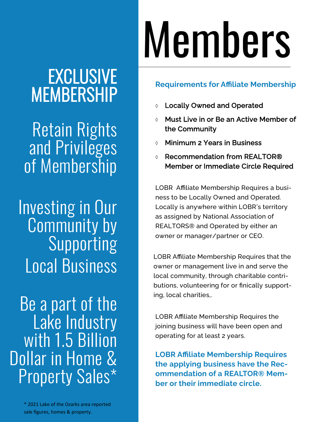# Members

### EXCLUSIVE MEMBERSHIP

Retain Rights and Privileges of Membership

Investing in Our **Community by** Supporting Local Business

Be a part of the Lake Industry with 1.5 Billion Dollar in Home & Property Sales\*

> \* 2021 Lake of the Ozarks area reported sale figures, homes & property.

#### **Requirements for Affiliate Membership**

- Locally Owned and Operated
- Must Live in or Be an Active Member of the Community
- Minimum 2 Years in Business
- Recommendation from REALTOR® Member or Immediate Circle Required

LOBR Affiliate Membership Requires a business to be Locally Owned and Operated. Locally is anywhere within LOBR's territory as assigned by National Association of REALTORS® and Operated by either an owner or manager/partner or CEO.

LOBR Affiliate Membership Requires that the owner or management live in and serve the local community, through charitable contributions, volunteering for or finically supporting, local charities,.

LOBR Affiliate Membership Requires the joining business will have been open and operating for at least 2 years.

**LOBR Affiliate Membership Requires the applying business have the Recommendation of a REALTOR® Member or their immediate circle.**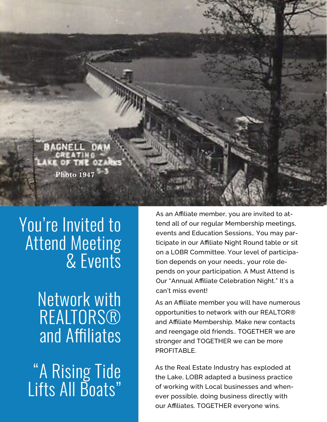

### You're Invited to Attend Meeting & Events

### Network with **REALTORS®** and Affiliates

"A Rising Tide Lifts All Boats"

As an Affiliate member, you are invited to attend all of our regular Membership meetings, events and Education Sessions,. You may participate in our Affiliate Night Round table or sit on a LOBR Committee. Your level of participation depends on your needs., your role depends on your participation. A Must Attend is Our "Annual Affiliate Celebration Night." It's a can't miss event!

As an Affiliate member you will have numerous opportunities to network with our REALTOR® and Affiliate Membership. Make new contacts and reengage old friends.. TOGETHER we are stronger and TOGETHER we can be more PROFITABLE.

As the Real Estate Industry has exploded at the Lake, LOBR adapted a business practice of working with Local businesses and whenever possible, doing business directly with our Affiliates. TOGETHER everyone wins.